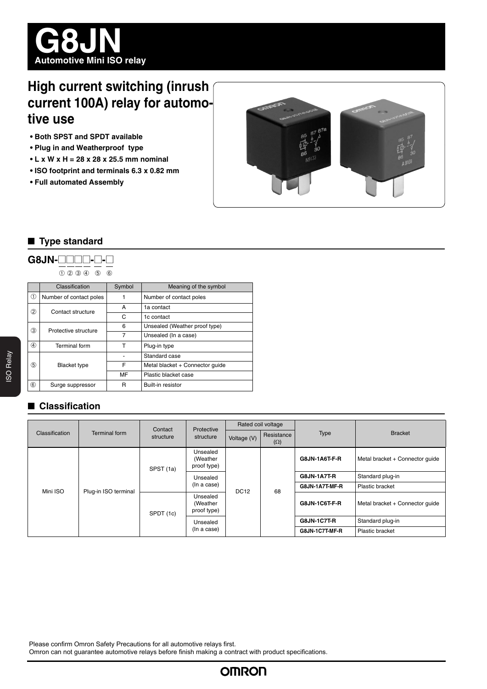

# **High current switching (inrush current 100A) relay for automotive use**

- **Both SPST and SPDT available**
- **Plug in and Weatherproof type**
- **L x W x H = 28 x 28 x 25.5 mm nominal**
- **ISO footprint and terminals 6.3 x 0.82 mm**
- **Full automated Assembly**



### ■ **Type standard**

# **G8JN-@@@@-@-@**

➀➁➂➃ ➄ ➅

|               | Classification          | Symbol | Meaning of the symbol           |
|---------------|-------------------------|--------|---------------------------------|
| $\circled$    | Number of contact poles |        | Number of contact poles         |
| (2)           | Contact structure       | A      | 1a contact                      |
|               |                         | C      | 1c contact                      |
| 3             | Protective structure    | 6      | Unsealed (Weather proof type)   |
|               |                         | 7      | Unsealed (In a case)            |
| $\circled{4}$ | <b>Terminal</b> form    | т      | Plug-in type                    |
| (5)           | <b>Blacket type</b>     |        | Standard case                   |
|               |                         | F      | Metal blacket + Connector quide |
|               |                         | MF     | Plastic blacket case            |
| $6$           | Surge suppressor        | R      | Built-in resistor               |

# ■ **Classification**

|                | Terminal form        | Contact<br>structure | Protective<br>structure             | Rated coil voltage |                          |                      |                                 |
|----------------|----------------------|----------------------|-------------------------------------|--------------------|--------------------------|----------------------|---------------------------------|
| Classification |                      |                      |                                     | Voltage (V)        | Resistance<br>$(\Omega)$ | <b>Type</b>          | <b>Bracket</b>                  |
|                | Plug-in ISO terminal | SPST (1a)            | Unsealed<br>(Weather<br>proof type) | <b>DC12</b>        | 68                       | G8JN-1A6T-F-R        | Metal bracket + Connector quide |
|                |                      |                      | Unsealed<br>(In a case)             |                    |                          | <b>G8JN-1A7T-R</b>   | Standard plug-in                |
| Mini ISO       |                      |                      |                                     |                    |                          | G8JN-1A7T-MF-R       | Plastic bracket                 |
|                |                      | SPDT (1c)            | Unsealed<br>(Weather<br>proof type) |                    |                          | <b>G8JN-1C6T-F-R</b> | Metal bracket + Connector quide |
|                |                      |                      | Unsealed<br>(In a case)             |                    |                          | <b>G8JN-1C7T-R</b>   | Standard plug-in                |
|                |                      |                      |                                     |                    |                          | G8JN-1C7T-MF-R       | Plastic bracket                 |

Please confirm Omron Safety Precautions for all automotive relays first.

Omron can not guarantee automotive relays before finish making a contract with product specifications.

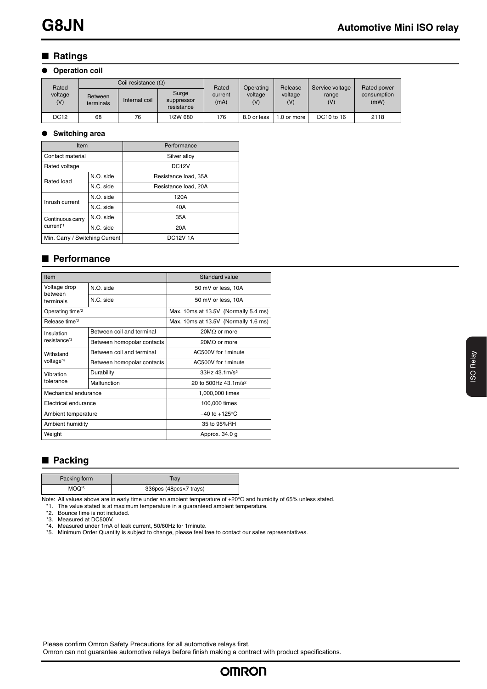# ■ **Ratings**

#### ● **Operation coil**

| Rated          | Coil resistance $(\Omega)$  |               |                                   | Rated           | Operating      | Release        | Service voltage | <b>Rated power</b>  |
|----------------|-----------------------------|---------------|-----------------------------------|-----------------|----------------|----------------|-----------------|---------------------|
| voltage<br>(V) | <b>Between</b><br>terminals | Internal coil | Surge<br>suppressor<br>resistance | current<br>(mA) | voltage<br>(V) | voltage<br>(V) | range<br>(V)    | consumption<br>(mW) |
| DC12           | 68                          | 76            | 1/2W 680                          | 176             | 8.0 or less    | 1.0 or more    | DC10 to 16      | 2118                |

#### ● **Switching area**

| Item                           |           | Performance          |  |  |
|--------------------------------|-----------|----------------------|--|--|
| Contact material               |           | Silver alloy         |  |  |
| Rated voltage                  |           | DC <sub>12</sub> V   |  |  |
| Rated load                     | N.O. side | Resistance load, 35A |  |  |
|                                | N.C. side | Resistance load, 20A |  |  |
| Inrush current                 | N.O. side | 120A                 |  |  |
|                                | N.C. side | 40A                  |  |  |
| Continuous carry               | N.O. side | 35A                  |  |  |
| current*1                      | N.C. side | 20A                  |  |  |
| Min. Carry / Switching Current |           | <b>DC12V1A</b>       |  |  |

### ■ **Performance**

| Item                        |                            | Standard value                       |  |  |
|-----------------------------|----------------------------|--------------------------------------|--|--|
| Voltage drop                | N.O. side                  | 50 mV or less, 10A                   |  |  |
| between<br>terminals        | N.C. side                  | 50 mV or less, 10A                   |  |  |
| Operating time <sup>2</sup> |                            | Max. 10ms at 13.5V (Normally 5.4 ms) |  |  |
| Release time <sup>*2</sup>  |                            | Max. 10ms at 13.5V (Normally 1.6 ms) |  |  |
| Insulation                  | Between coil and terminal  | $20M\Omega$ or more                  |  |  |
| resistance <sup>*3</sup>    | Between homopolar contacts | 20MO or more                         |  |  |
| Withstand                   | Between coil and terminal  | AC500V for 1 minute                  |  |  |
| voltage <sup>*4</sup>       | Between homopolar contacts | AC500V for 1 minute                  |  |  |
| Vibration                   | Durability                 | $33Hz$ 43.1m/s <sup>2</sup>          |  |  |
| tolerance                   | Malfunction                | 20 to 500Hz 43.1m/s <sup>2</sup>     |  |  |
| Mechanical endurance        |                            | 1,000,000 times                      |  |  |
| Electrical endurance        |                            | 100,000 times                        |  |  |
| Ambient temperature         |                            | $-40$ to $+125^{\circ}$ C            |  |  |
| Ambient humidity            |                            | 35 to 95%RH                          |  |  |
| Weight                      |                            | Approx. 34.0 g                       |  |  |

## ■ **Packing**

| Packing form      | Trav                   |
|-------------------|------------------------|
| MOQ <sup>*5</sup> | 336pcs (48pcs×7 trays) |

Note: All values above are in early time under an ambient temperature of  $+20^{\circ}$ C and humidity of 65% unless stated.

\*1. The value stated is at maximum temperature in a guaranteed ambient temperature. \*2. Bounce time is not included.

\*3. Measured at DC500V. \*4. Measured under 1mA of leak current, 50/60Hz for 1minute. \*5. Minimum Order Quantity is subject to change, please feel free to contact our sales representatives.

Please confirm Omron Safety Precautions for all automotive relays first.

Omron can not guarantee automotive relays before finish making a contract with product specifications.

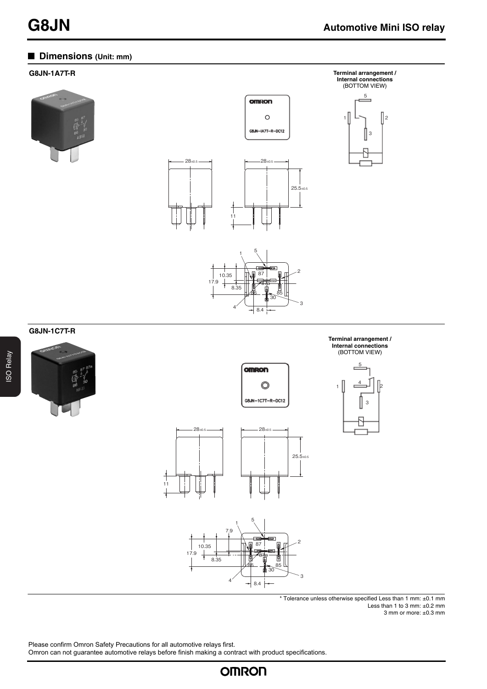# ■ **Dimensions** (Unit: mm)

#### **G8JN-1A7T-R Terminal arrangement /**





 $1^{5}$ 

87a 17.9 10.35 8.35

 $\overline{8}$ 

87

omRon

 $\circ$ 

86

 $30^{85}$ 

3

2















\* Tolerance unless otherwise specified Less than 1 mm: ±0.1 mm Less than 1 to 3 mm: ±0.2 mm 3 mm or more: ±0.3 mm

Please confirm Omron Safety Precautions for all automotive relays first.

Omron can not guarantee automotive relays before finish making a contract with product specifications.